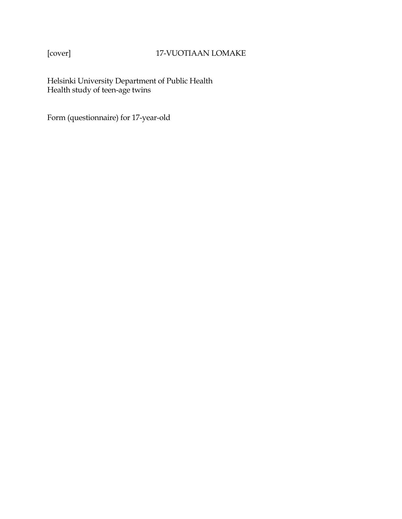# [cover] 17-VUOTIAAN LOMAKE

Helsinki University Department of Public Health Health study of teen-age twins

Form (questionnaire) for 17-year-old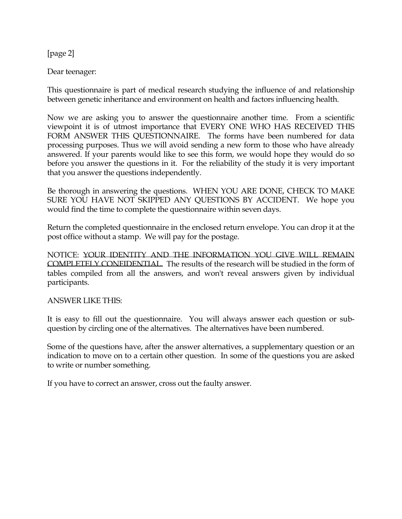[page 2]

Dear teenager:

This questionnaire is part of medical research studying the influence of and relationship between genetic inheritance and environment on health and factors influencing health.

Now we are asking you to answer the questionnaire another time. From a scientific viewpoint it is of utmost importance that EVERY ONE WHO HAS RECEIVED THIS FORM ANSWER THIS QUESTIONNAIRE. The forms have been numbered for data processing purposes. Thus we will avoid sending a new form to those who have already answered. If your parents would like to see this form, we would hope they would do so before you answer the questions in it. For the reliability of the study it is very important that you answer the questions independently.

Be thorough in answering the questions. WHEN YOU ARE DONE, CHECK TO MAKE SURE YOU HAVE NOT SKIPPED ANY QUESTIONS BY ACCIDENT. We hope you would find the time to complete the questionnaire within seven days.

Return the completed questionnaire in the enclosed return envelope. You can drop it at the post office without a stamp. We will pay for the postage.

NOTICE: YOUR IDENTITY AND THE INFORMATION YOU GIVE WILL REMAIN COMPLETELY CONFIDENTIAL. The results of the research will be studied in the form of tables compiled from all the answers, and won't reveal answers given by individual participants.

ANSWER LIKE THIS:

It is easy to fill out the questionnaire. You will always answer each question or subquestion by circling one of the alternatives. The alternatives have been numbered.

Some of the questions have, after the answer alternatives, a supplementary question or an indication to move on to a certain other question. In some of the questions you are asked to write or number something.

If you have to correct an answer, cross out the faulty answer.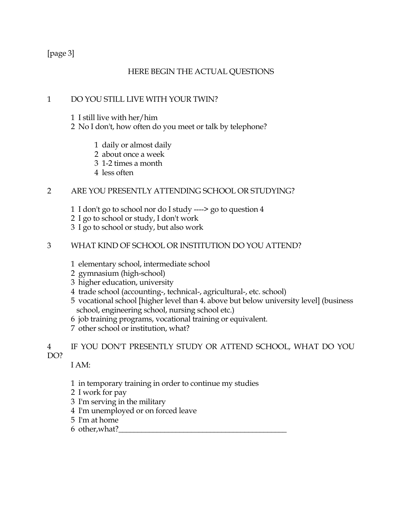[page 3]

# HERE BEGIN THE ACTUAL QUESTIONS

# 1 DO YOU STILL LIVE WITH YOUR TWIN?

- 1 I still live with her/him
- 2 No I don't, how often do you meet or talk by telephone?
	- 1 daily or almost daily
	- 2 about once a week
	- 3 1-2 times a month
	- 4 less often

# 2 ARE YOU PRESENTLY ATTENDING SCHOOL OR STUDYING?

- 1 I don't go to school nor do I study ----> go to question 4
- 2 I go to school or study, I don't work
- 3 I go to school or study, but also work

## 3 WHAT KIND OF SCHOOL OR INSTITUTION DO YOU ATTEND?

- 1 elementary school, intermediate school
- 2 gymnasium (high-school)
- 3 higher education, university
- 4 trade school (accounting-, technical-, agricultural-, etc. school)
- 5 vocational school [higher level than 4. above but below university level] (business school, engineering school, nursing school etc.)
- 6 job training programs, vocational training or equivalent.
- 7 other school or institution, what?

## 4 IF YOU DON'T PRESENTLY STUDY OR ATTEND SCHOOL, WHAT DO YOU DO?

I AM:

- 1 in temporary training in order to continue my studies
- 2 I work for pay
- 3 I'm serving in the military
- 4 I'm unemployed or on forced leave
- 5 I'm at home
- 6 other, what?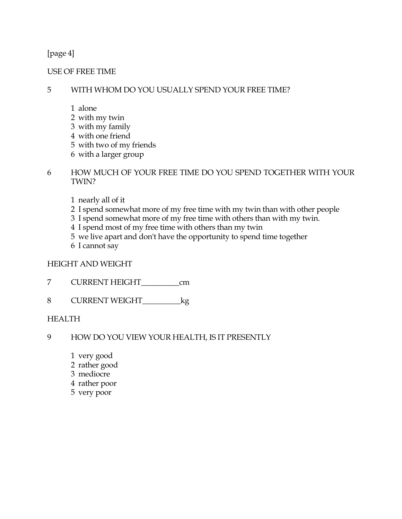[page 4]

USE OF FREE TIME

## 5 WITH WHOM DO YOU USUALLY SPEND YOUR FREE TIME?

- 1 alone
- 2 with my twin
- 3 with my family
- 4 with one friend
- 5 with two of my friends
- 6 with a larger group
- 6 HOW MUCH OF YOUR FREE TIME DO YOU SPEND TOGETHER WITH YOUR TWIN?
	- 1 nearly all of it
	- 2 I spend somewhat more of my free time with my twin than with other people
	- 3 I spend somewhat more of my free time with others than with my twin.
	- 4 I spend most of my free time with others than my twin
	- 5 we live apart and don't have the opportunity to spend time together
	- 6 I cannot say

## HEIGHT AND WEIGHT

- 7 CURRENT HEIGHT\_\_\_\_\_\_\_\_\_\_cm
- 8 CURRENT WEIGHT\_\_\_\_\_\_\_\_\_\_kg

# HEALTH

- 9 HOW DO YOU VIEW YOUR HEALTH, IS IT PRESENTLY
	- 1 very good
	- 2 rather good
	- 3 mediocre
	- 4 rather poor
	- 5 very poor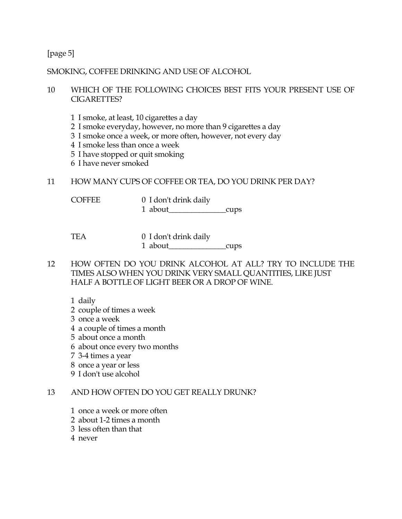## [page 5]

### SMOKING, COFFEE DRINKING AND USE OF ALCOHOL

### 10 WHICH OF THE FOLLOWING CHOICES BEST FITS YOUR PRESENT USE OF CIGARETTES?

- 1 I smoke, at least, 10 cigarettes a day
- 2 I smoke everyday, however, no more than 9 cigarettes a day
- 3 I smoke once a week, or more often, however, not every day
- 4 I smoke less than once a week
- 5 I have stopped or quit smoking
- 6 I have never smoked

### 11 HOW MANY CUPS OF COFFEE OR TEA, DO YOU DRINK PER DAY?

COFFEE 0 I don't drink daily

1 about\_\_\_\_\_\_\_\_\_\_\_\_\_\_\_cups

- TEA 0 I don't drink daily 1 about cups
- 12 HOW OFTEN DO YOU DRINK ALCOHOL AT ALL? TRY TO INCLUDE THE TIMES ALSO WHEN YOU DRINK VERY SMALL QUANTITIES, LIKE JUST HALF A BOTTLE OF LIGHT BEER OR A DROP OF WINE.
	- 1 daily
	- 2 couple of times a week
	- 3 once a week
	- 4 a couple of times a month
	- 5 about once a month
	- 6 about once every two months
	- 7 3-4 times a year
	- 8 once a year or less
	- 9 I don't use alcohol

## 13 AND HOW OFTEN DO YOU GET REALLY DRUNK?

- 1 once a week or more often
- 2 about 1-2 times a month
- 3 less often than that
- 4 never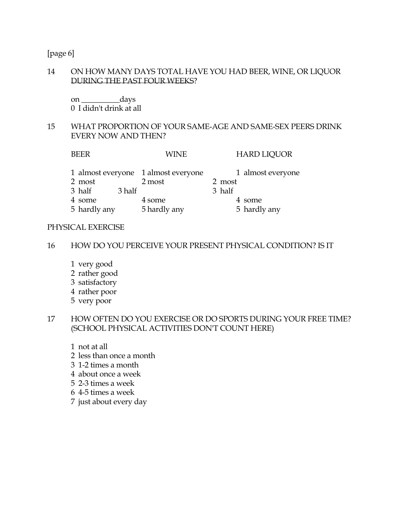[page 6]

#### 14 ON HOW MANY DAYS TOTAL HAVE YOU HAD BEER, WINE, OR LIQUOR DURING THE PAST FOUR WEEKS?

 on \_\_\_\_\_\_\_\_\_\_days 0 I didn't drink at all

### 15 WHAT PROPORTION OF YOUR SAME-AGE AND SAME-SEX PEERS DRINK EVERY NOW AND THEN?

BEER WINE HARD LIQUOR 1 almost everyone 1 almost everyone 1 almost everyone 2 most 2 most 2 most 3 half 3 half 3 half 4 some 4 some 4 some 4 some 4 some 4 some 4 some 4 some 4 some 4 some 4 some 4 some 4 some 4 some 4 some 4 some 4 some 4 some 4 some 4 some 4 some 4 some 4 some 4 some 4 some 4 some 4 some 4 some 4 some 4 some 4 some 4 som 5 hardly any 5 hardly any 5 hardly any

#### PHYSICAL EXERCISE

#### 16 HOW DO YOU PERCEIVE YOUR PRESENT PHYSICAL CONDITION? IS IT

- 1 very good
- 2 rather good
- 3 satisfactory
- 4 rather poor
- 5 very poor

#### 17 HOW OFTEN DO YOU EXERCISE OR DO SPORTS DURING YOUR FREE TIME? (SCHOOL PHYSICAL ACTIVITIES DON'T COUNT HERE)

- 1 not at all
- 2 less than once a month
- 3 1-2 times a month
- 4 about once a week
- 5 2-3 times a week
- 6 4-5 times a week
- 7 just about every day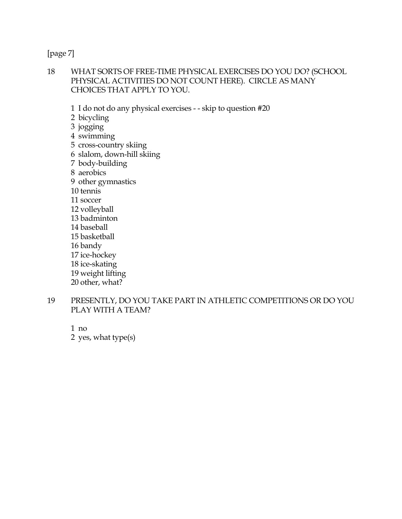[page 7]

- 18 WHAT SORTS OF FREE-TIME PHYSICAL EXERCISES DO YOU DO? (SCHOOL PHYSICAL ACTIVITIES DO NOT COUNT HERE). CIRCLE AS MANY CHOICES THAT APPLY TO YOU.
	- 1 I do not do any physical exercises - skip to question #20
	- 2 bicycling
	- 3 jogging
	- 4 swimming
	- 5 cross-country skiing
	- 6 slalom, down-hill skiing
	- 7 body-building
	- 8 aerobics
	- 9 other gymnastics
	- 10 tennis 11 soccer
	- 12 volleyball
	- 13 badminton
	- 14 baseball
	- 15 basketball
	- 16 bandy
	- 17 ice-hockey
	- 18 ice-skating
	- 19 weight lifting
	- 20 other, what?
- 19 PRESENTLY, DO YOU TAKE PART IN ATHLETIC COMPETITIONS OR DO YOU PLAY WITH A TEAM?
	- 1 no 2 yes, what type(s)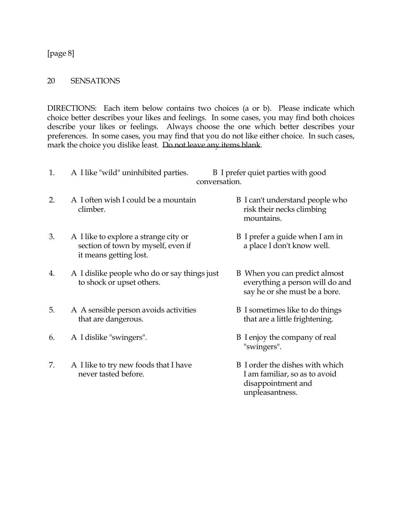[page 8]

#### 20 SENSATIONS

DIRECTIONS: Each item below contains two choices (a or b). Please indicate which choice better describes your likes and feelings. In some cases, you may find both choices describe your likes or feelings. Always choose the one which better describes your preferences. In some cases, you may find that you do not like either choice. In such cases, mark the choice you dislike least. Do not leave any items blank.

| 1. | A I like "wild" uninhibited parties.                                                                  | B I prefer quiet parties with good<br>conversation.                                                       |
|----|-------------------------------------------------------------------------------------------------------|-----------------------------------------------------------------------------------------------------------|
| 2. | A I often wish I could be a mountain<br>climber.                                                      | B I can't understand people who<br>risk their necks climbing<br>mountains.                                |
| 3. | A I like to explore a strange city or<br>section of town by myself, even if<br>it means getting lost. | B I prefer a guide when I am in<br>a place I don't know well.                                             |
| 4. | A I dislike people who do or say things just<br>to shock or upset others.                             | B When you can predict almost<br>everything a person will do and<br>say he or she must be a bore.         |
| 5. | A A sensible person avoids activities<br>that are dangerous.                                          | B I sometimes like to do things<br>that are a little frightening.                                         |
| 6. | A I dislike "swingers".                                                                               | B I enjoy the company of real<br>"swingers".                                                              |
| 7. | A I like to try new foods that I have<br>never tasted before.                                         | B I order the dishes with which<br>I am familiar, so as to avoid<br>disappointment and<br>unpleasantness. |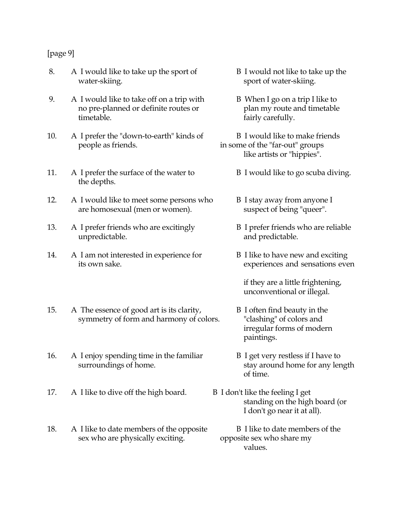## [page 9]

- 8. A I would like to take up the sport of B I would not like to take up the water-skiing. Sport of water-skiing.
- 9. A I would like to take off on a trip with B When I go on a trip I like to no pre-planned or definite routes or plan my route and timetable timetable.  $\qquad \qquad$  fairly carefully.
- 10. A I prefer the "down-to-earth" kinds of B I would like to make friends people as friends. in some of the "far-out" groups
- 11. A I prefer the surface of the water to B I would like to go scuba diving. the depths.
- 12. A I would like to meet some persons who B I stay away from anyone I are homosexual (men or women). suspect of being "queer".
- 13. A I prefer friends who are excitingly B I prefer friends who are reliable unpredictable. and predictable.
- 14. A I am not interested in experience for B I like to have new and exciting its own sake. experiences and sensations even
- 15. A The essence of good art is its clarity, B I often find beauty in the symmetry of form and harmony of colors. "clashing" of colors and
- 16. A I enjoy spending time in the familiar B I get very restless if I have to surroundings of home. stay around home for any length
- 17. A I like to dive off the high board. B I don't like the feeling I get
- 18. A I like to date members of the opposite B I like to date members of the sex who are physically exciting. opposite sex who share my
- 
- 
- like artists or "hippies".
	-
	-
	-
	-

 if they are a little frightening, unconventional or illegal.

- irregular forms of modern paintings.
- of time.
	- standing on the high board (or I don't go near it at all).
- values.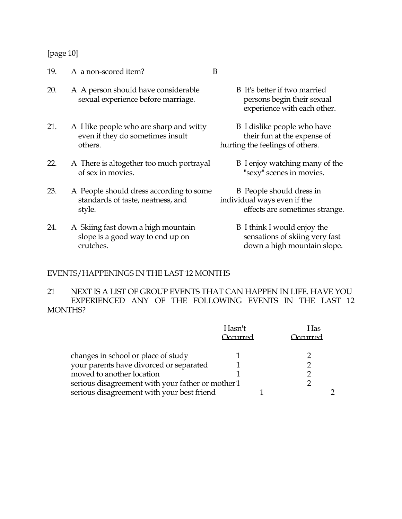#### [page 10]

19. A a non-scored item? B

- 20. A A person should have considerable B It's better if two married sexual experience before marriage. persons begin their sexual
- 21. A I like people who are sharp and witty B I dislike people who have even if they do sometimes insult their fun at the expense of others. hurting the feelings of others.
- 22. A There is altogether too much portrayal B I enjoy watching many of the of sex in movies. "sexy" scenes in movies.
- 23. A People should dress according to some B People should dress in standards of taste, neatness, and individual ways even if the style. effects are sometimes strange.
- 24. A Skiing fast down a high mountain B I think I would enjoy the slope is a good way to end up on sensations of skiing very fast crutches. down a high mountain slope.
- experience with each other.
- -
- -

## EVENTS/HAPPENINGS IN THE LAST 12 MONTHS

21 NEXT IS A LIST OF GROUP EVENTS THAT CAN HAPPEN IN LIFE. HAVE YOU EXPERIENCED ANY OF THE FOLLOWING EVENTS IN THE LAST 12 MONTHS?

|                                            | Hasn't<br>$C$ 11 $r$ r $\alpha$ d                 | Has<br>$11rr\alpha$ |
|--------------------------------------------|---------------------------------------------------|---------------------|
| changes in school or place of study        |                                                   |                     |
| your parents have divorced or separated    |                                                   |                     |
| moved to another location                  |                                                   |                     |
|                                            | serious disagreement with your father or mother 1 |                     |
| serious disagreement with your best friend |                                                   |                     |